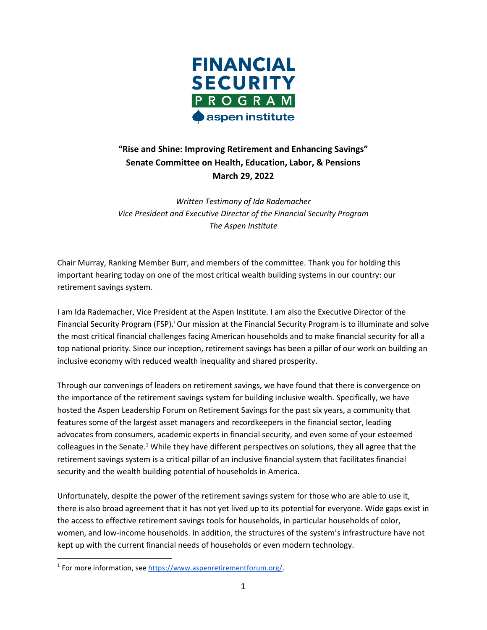

# **"Rise and Shine: Improving Retirement and Enhancing Savings" Senate Committee on Health, Education, Labor, & Pensions March 29, 2022**

*Written Testimony of Ida Rademacher Vice President and Executive Director of the Financial Security Program The Aspen Institute*

Chair Murray, Ranking Member Burr, and members of the committee. Thank you for holding this important hearing today on one of the most critical wealth building systems in our country: our retirement savings system.

I am Ida Rademacher, Vice President at the Aspen Institute. I am also the Executive Director of the Financial Security Program (FSP).<sup>i</sup> Our mission at the Financial Security Program is to illuminate and solve the most critical financial challenges facing American households and to make financial security for all a top national priority. Since our inception, retirement savings has been a pillar of our work on building an inclusive economy with reduced wealth inequality and shared prosperity.

Through our convenings of leaders on retirement savings, we have found that there is convergence on the importance of the retirement savings system for building inclusive wealth. Specifically, we have hosted the Aspen Leadership Forum on Retirement Savings for the past six years, a community that features some of the largest asset managers and recordkeepers in the financial sector, leading advocates from consumers, academic experts in financial security, and even some of your esteemed colleagues in the Senate.<sup>1</sup> While they have different perspectives on solutions, they all agree that the retirement savings system is a critical pillar of an inclusive financial system that facilitates financial security and the wealth building potential of households in America.

Unfortunately, despite the power of the retirement savings system for those who are able to use it, there is also broad agreement that it has not yet lived up to its potential for everyone. Wide gaps exist in the access to effective retirement savings tools for households, in particular households of color, women, and low-income households. In addition, the structures of the system's infrastructure have not kept up with the current financial needs of households or even modern technology.

<sup>&</sup>lt;sup>1</sup> For more information, se[e https://www.aspenretirementforum.org/.](https://www.aspenretirementforum.org/)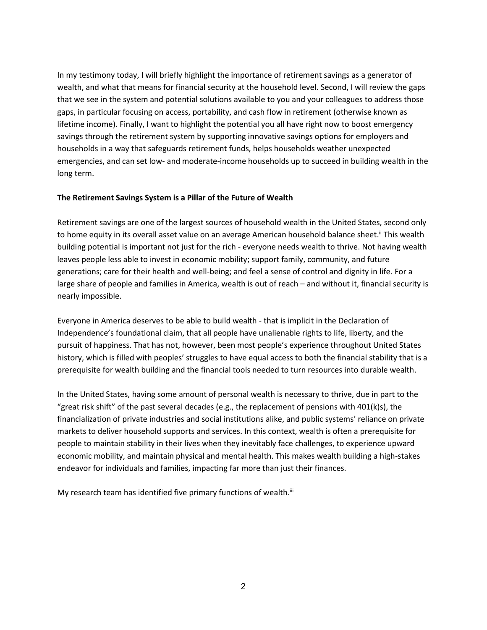In my testimony today, I will briefly highlight the importance of retirement savings as a generator of wealth, and what that means for financial security at the household level. Second, I will review the gaps that we see in the system and potential solutions available to you and your colleagues to address those gaps, in particular focusing on access, portability, and cash flow in retirement (otherwise known as lifetime income). Finally, I want to highlight the potential you all have right now to boost emergency savings through the retirement system by supporting innovative savings options for employers and households in a way that safeguards retirement funds, helps households weather unexpected emergencies, and can set low- and moderate-income households up to succeed in building wealth in the long term.

#### **The Retirement Savings System is a Pillar of the Future of Wealth**

Retirement savings are one of the largest sources of household wealth in the United States, second only to home equity in its overall asset value on an average American household balance sheet.<sup>"</sup> This wealth building potential is important not just for the rich - everyone needs wealth to thrive. Not having wealth leaves people less able to invest in economic mobility; support family, community, and future generations; care for their health and well-being; and feel a sense of control and dignity in life. For a large share of people and families in America, wealth is out of reach – and without it, financial security is nearly impossible.

Everyone in America deserves to be able to build wealth - that is implicit in the Declaration of Independence's foundational claim, that all people have unalienable rights to life, liberty, and the pursuit of happiness. That has not, however, been most people's experience throughout United States history, which is filled with peoples' struggles to have equal access to both the financial stability that is a prerequisite for wealth building and the financial tools needed to turn resources into durable wealth.

In the United States, having some amount of personal wealth is necessary to thrive, due in part to the "great risk shift" of the past several decades (e.g., the replacement of pensions with  $401(k)s$ ), the financialization of private industries and social institutions alike, and public systems' reliance on private markets to deliver household supports and services. In this context, wealth is often a prerequisite for people to maintain stability in their lives when they inevitably face challenges, to experience upward economic mobility, and maintain physical and mental health. This makes wealth building a high-stakes endeavor for individuals and families, impacting far more than just their finances.

My research team has identified five primary functions of wealth.<sup>iii</sup>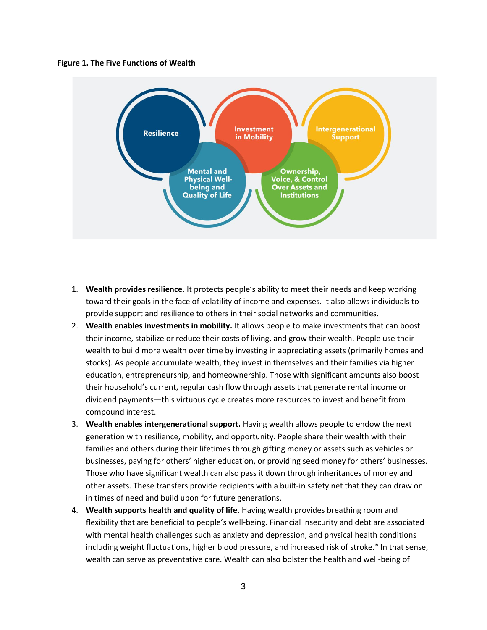



- 1. **Wealth provides resilience.** It protects people's ability to meet their needs and keep working toward their goals in the face of volatility of income and expenses. It also allows individuals to provide support and resilience to others in their social networks and communities.
- 2. **Wealth enables investments in mobility.** It allows people to make investments that can boost their income, stabilize or reduce their costs of living, and grow their wealth. People use their wealth to build more wealth over time by investing in appreciating assets (primarily homes and stocks). As people accumulate wealth, they invest in themselves and their families via higher education, entrepreneurship, and homeownership. Those with significant amounts also boost their household's current, regular cash flow through assets that generate rental income or dividend payments—this virtuous cycle creates more resources to invest and benefit from compound interest.
- 3. **Wealth enables intergenerational support.** Having wealth allows people to endow the next generation with resilience, mobility, and opportunity. People share their wealth with their families and others during their lifetimes through gifting money or assets such as vehicles or businesses, paying for others' higher education, or providing seed money for others' businesses. Those who have significant wealth can also pass it down through inheritances of money and other assets. These transfers provide recipients with a built-in safety net that they can draw on in times of need and build upon for future generations.
- 4. **Wealth supports health and quality of life.** Having wealth provides breathing room and flexibility that are beneficial to people's well-being. Financial insecurity and debt are associated with mental health challenges such as anxiety and depression, and physical health conditions including weight fluctuations, higher blood pressure, and increased risk of stroke.<sup>iv</sup> In that sense, wealth can serve as preventative care. Wealth can also bolster the health and well-being of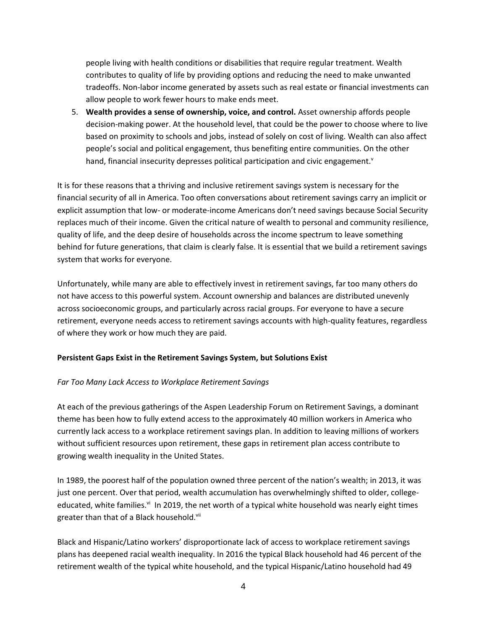people living with health conditions or disabilities that require regular treatment. Wealth contributes to quality of life by providing options and reducing the need to make unwanted tradeoffs. Non-labor income generated by assets such as real estate or financial investments can allow people to work fewer hours to make ends meet.

5. **Wealth provides a sense of ownership, voice, and control.** Asset ownership affords people decision-making power. At the household level, that could be the power to choose where to live based on proximity to schools and jobs, instead of solely on cost of living. Wealth can also affect people's social and political engagement, thus benefiting entire communities. On the other hand, financial insecurity depresses political participation and civic engagement. $y$ 

It is for these reasons that a thriving and inclusive retirement savings system is necessary for the financial security of all in America. Too often conversations about retirement savings carry an implicit or explicit assumption that low- or moderate-income Americans don't need savings because Social Security replaces much of their income. Given the critical nature of wealth to personal and community resilience, quality of life, and the deep desire of households across the income spectrum to leave something behind for future generations, that claim is clearly false. It is essential that we build a retirement savings system that works for everyone.

Unfortunately, while many are able to effectively invest in retirement savings, far too many others do not have access to this powerful system. Account ownership and balances are distributed unevenly across socioeconomic groups, and particularly across racial groups. For everyone to have a secure retirement, everyone needs access to retirement savings accounts with high-quality features, regardless of where they work or how much they are paid.

#### **Persistent Gaps Exist in the Retirement Savings System, but Solutions Exist**

#### *Far Too Many Lack Access to Workplace Retirement Savings*

At each of the previous gatherings of the Aspen Leadership Forum on Retirement Savings, a dominant theme has been how to fully extend access to the approximately 40 million workers in America who currently lack access to a workplace retirement savings plan. In addition to leaving millions of workers without sufficient resources upon retirement, these gaps in retirement plan access contribute to growing wealth inequality in the United States.

In 1989, the poorest half of the population owned three percent of the nation's wealth; in 2013, it was just one percent. Over that period, wealth accumulation has overwhelmingly shifted to older, collegeeducated, white families.<sup>vi</sup> In 2019, the net worth of a typical white household was nearly eight times greater than that of a Black household.<sup>vii</sup>

Black and Hispanic/Latino workers' disproportionate lack of access to workplace retirement savings plans has deepened racial wealth inequality. In 2016 the typical Black household had 46 percent of the retirement wealth of the typical white household, and the typical Hispanic/Latino household had 49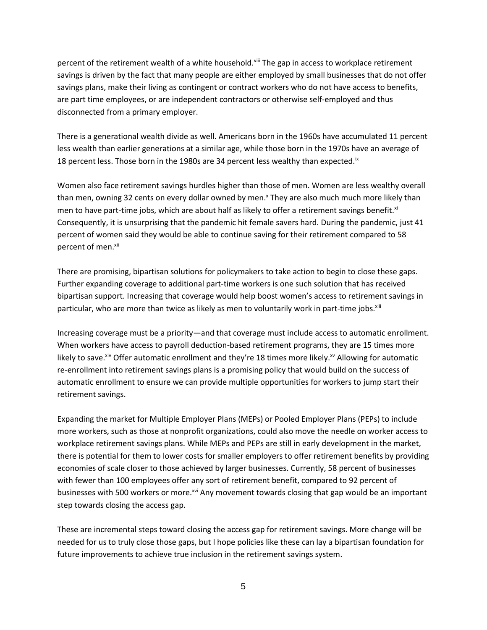percent of the retirement wealth of a white household.<sup>viif</sup> The gap in access to workplace retirement savings is driven by the fact that many people are either employed by small businesses that do not offer savings plans, make their living as contingent or contract workers who do not have access to benefits, are part time employees, or are independent contractors or otherwise self-employed and thus disconnected from a primary employer.

There is a generational wealth divide as well. Americans born in the 1960s have accumulated 11 percent less wealth than earlier generations at a similar age, while those born in the 1970s have an average of 18 percent less. Those born in the 1980s are 34 percent less wealthy than expected.<sup>ix</sup>

Women also face retirement savings hurdles higher than those of men. Women are less wealthy overall than men, owning 32 cents on every dollar owned by men.<sup>x</sup> They are also much much more likely than men to have part-time jobs, which are about half as likely to offer a retirement savings benefit. $x_i$ Consequently, it is unsurprising that the pandemic hit female savers hard. During the pandemic, just 41 percent of women said they would be able to continue saving for their retirement compared to 58 percent of men.<sup>xii</sup>

There are promising, bipartisan solutions for policymakers to take action to begin to close these gaps. Further expanding coverage to additional part-time workers is one such solution that has received bipartisan support. Increasing that coverage would help boost women's access to retirement savings in particular, who are more than twice as likely as men to voluntarily work in part-time jobs.<sup>xiii</sup>

Increasing coverage must be a priority—and that coverage must include access to automatic enrollment. When workers have access to payroll deduction-based retirement programs, they are 15 times more likely to save. $\frac{x}{x}$  Offer automatic enrollment and they're 18 times more likely. $\frac{x}{x}$  Allowing for automatic re-enrollment into retirement savings plans is a promising policy that would build on the success of automatic enrollment to ensure we can provide multiple opportunities for workers to jump start their retirement savings.

Expanding the market for Multiple Employer Plans (MEPs) or Pooled Employer Plans (PEPs) to include more workers, such as those at nonprofit organizations, could also move the needle on worker access to workplace retirement savings plans. While MEPs and PEPs are still in early development in the market, there is potential for them to lower costs for smaller employers to offer retirement benefits by providing economies of scale closer to those achieved by larger businesses. Currently, 58 percent of businesses with fewer than 100 employees offer any sort of retirement benefit, compared to 92 percent of businesses with 500 workers or more.<sup>xvi</sup> Any movement towards closing that gap would be an important step towards closing the access gap.

These are incremental steps toward closing the access gap for retirement savings. More change will be needed for us to truly close those gaps, but I hope policies like these can lay a bipartisan foundation for future improvements to achieve true inclusion in the retirement savings system.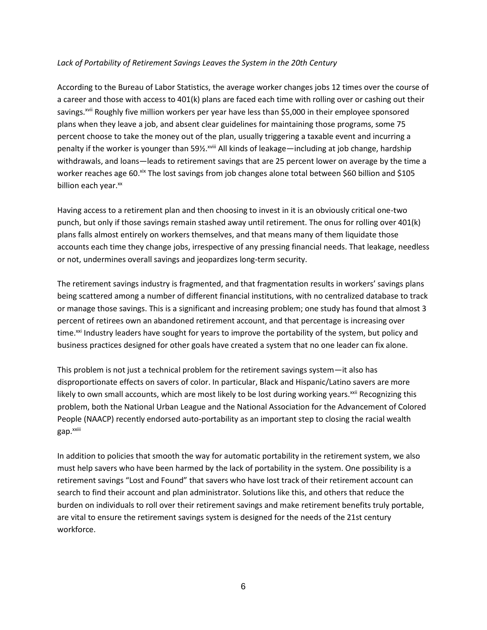#### *Lack of Portability of Retirement Savings Leaves the System in the 20th Century*

According to the Bureau of Labor Statistics, the average worker changes jobs 12 times over the course of a career and those with access to 401(k) plans are faced each time with rolling over or cashing out their savings.<sup>xvii</sup> Roughly five million workers per year have less than \$5,000 in their employee sponsored plans when they leave a job, and absent clear guidelines for maintaining those programs, some 75 percent choose to take the money out of the plan, usually triggering a taxable event and incurring a penalty if the worker is younger than 59½.<sup>xviii</sup> All kinds of leakage—including at job change, hardship withdrawals, and loans—leads to retirement savings that are 25 percent lower on average by the time a worker reaches age 60.xix The lost savings from job changes alone total between \$60 billion and \$105 billion each year.<sup>xx</sup>

Having access to a retirement plan and then choosing to invest in it is an obviously critical one-two punch, but only if those savings remain stashed away until retirement. The onus for rolling over 401(k) plans falls almost entirely on workers themselves, and that means many of them liquidate those accounts each time they change jobs, irrespective of any pressing financial needs. That leakage, needless or not, undermines overall savings and jeopardizes long-term security.

The retirement savings industry is fragmented, and that fragmentation results in workers' savings plans being scattered among a number of different financial institutions, with no centralized database to track or manage those savings. This is a significant and increasing problem; one study has found that almost 3 percent of retirees own an abandoned retirement account, and that percentage is increasing over time.<sup>xxi</sup> Industry leaders have sought for years to improve the portability of the system, but policy and business practices designed for other goals have created a system that no one leader can fix alone.

This problem is not just a technical problem for the retirement savings system—it also has disproportionate effects on savers of color. In particular, Black and Hispanic/Latino savers are more likely to own small accounts, which are most likely to be lost during working years.<sup>xxii</sup> Recognizing this problem, both the National Urban League and the National Association for the Advancement of Colored People (NAACP) recently endorsed auto-portability as an important step to closing the racial wealth gap.xxiii

In addition to policies that smooth the way for automatic portability in the retirement system, we also must help savers who have been harmed by the lack of portability in the system. One possibility is a retirement savings "Lost and Found" that savers who have lost track of their retirement account can search to find their account and plan administrator. Solutions like this, and others that reduce the burden on individuals to roll over their retirement savings and make retirement benefits truly portable, are vital to ensure the retirement savings system is designed for the needs of the 21st century workforce.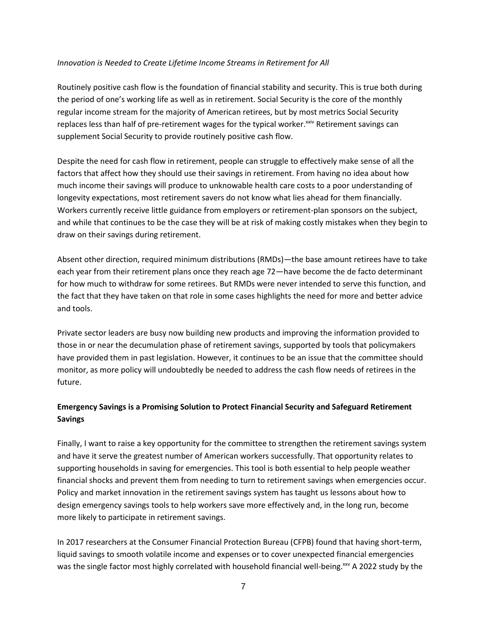#### *Innovation is Needed to Create Lifetime Income Streams in Retirement for All*

Routinely positive cash flow is the foundation of financial stability and security. This is true both during the period of one's working life as well as in retirement. Social Security is the core of the monthly regular income stream for the majority of American retirees, but by most metrics Social Security replaces less than half of pre-retirement wages for the typical worker.<sup>xxiv</sup> Retirement savings can supplement Social Security to provide routinely positive cash flow.

Despite the need for cash flow in retirement, people can struggle to effectively make sense of all the factors that affect how they should use their savings in retirement. From having no idea about how much income their savings will produce to unknowable health care costs to a poor understanding of longevity expectations, most retirement savers do not know what lies ahead for them financially. Workers currently receive little guidance from employers or retirement-plan sponsors on the subject, and while that continues to be the case they will be at risk of making costly mistakes when they begin to draw on their savings during retirement.

Absent other direction, required minimum distributions (RMDs)—the base amount retirees have to take each year from their retirement plans once they reach age 72—have become the de facto determinant for how much to withdraw for some retirees. But RMDs were never intended to serve this function, and the fact that they have taken on that role in some cases highlights the need for more and better advice and tools.

Private sector leaders are busy now building new products and improving the information provided to those in or near the decumulation phase of retirement savings, supported by tools that policymakers have provided them in past legislation. However, it continues to be an issue that the committee should monitor, as more policy will undoubtedly be needed to address the cash flow needs of retirees in the future.

## **Emergency Savings is a Promising Solution to Protect Financial Security and Safeguard Retirement Savings**

Finally, I want to raise a key opportunity for the committee to strengthen the retirement savings system and have it serve the greatest number of American workers successfully. That opportunity relates to supporting households in saving for emergencies. This tool is both essential to help people weather financial shocks and prevent them from needing to turn to retirement savings when emergencies occur. Policy and market innovation in the retirement savings system has taught us lessons about how to design emergency savings tools to help workers save more effectively and, in the long run, become more likely to participate in retirement savings.

In 2017 researchers at the Consumer Financial Protection Bureau (CFPB) found that having short-term, liquid savings to smooth volatile income and expenses or to cover unexpected financial emergencies was the single factor most highly correlated with household financial well-being.xxv A 2022 study by the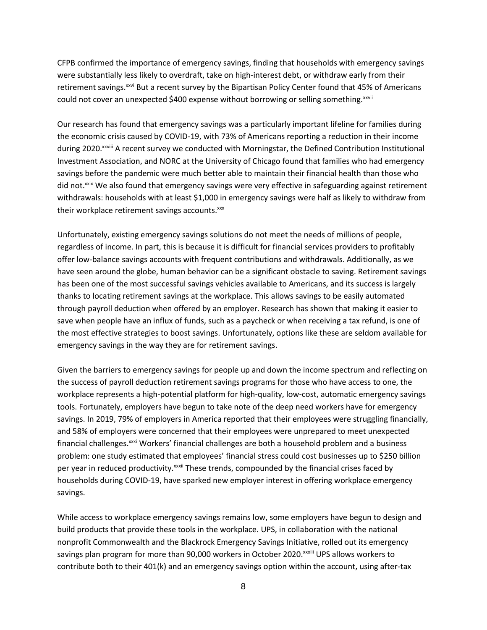CFPB confirmed the importance of emergency savings, finding that households with emergency savings were substantially less likely to overdraft, take on high-interest debt, or withdraw early from their retirement savings.<sup>xxvi</sup> But a recent survey by the Bipartisan Policy Center found that 45% of Americans could not cover an unexpected \$400 expense without borrowing or selling something.<sup>xxvii</sup>

Our research has found that emergency savings was a particularly important lifeline for families during the economic crisis caused by COVID-19, with 73% of Americans reporting a reduction in their income during 2020.<sup>xxviii</sup> A recent survey we conducted with Morningstar, the Defined Contribution Institutional Investment Association, and NORC at the University of Chicago found that families who had emergency savings before the pandemic were much better able to maintain their financial health than those who did not.<sup>xxix</sup> We also found that emergency savings were very effective in safeguarding against retirement withdrawals: households with at least \$1,000 in emergency savings were half as likely to withdraw from their workplace retirement savings accounts.<sup>xxx</sup>

Unfortunately, existing emergency savings solutions do not meet the needs of millions of people, regardless of income. In part, this is because it is difficult for financial services providers to profitably offer low-balance savings accounts with frequent contributions and withdrawals. Additionally, as we have seen around the globe, human behavior can be a significant obstacle to saving. Retirement savings has been one of the most successful savings vehicles available to Americans, and its success is largely thanks to locating retirement savings at the workplace. This allows savings to be easily automated through payroll deduction when offered by an employer. Research has shown that making it easier to save when people have an influx of funds, such as a paycheck or when receiving a tax refund, is one of the most effective strategies to boost savings. Unfortunately, options like these are seldom available for emergency savings in the way they are for retirement savings.

Given the barriers to emergency savings for people up and down the income spectrum and reflecting on the success of payroll deduction retirement savings programs for those who have access to one, the workplace represents a high-potential platform for high-quality, low-cost, automatic emergency savings tools. Fortunately, employers have begun to take note of the deep need workers have for emergency savings. In 2019, 79% of employers in America reported that their employees were struggling financially, and 58% of employers were concerned that their employees were unprepared to meet unexpected financial challenges.<sup>xxi</sup> Workers' financial challenges are both a household problem and a business problem: one study estimated that employees' financial stress could cost businesses up to \$250 billion per year in reduced productivity.<sup>xxxii</sup> These trends, compounded by the financial crises faced by households during COVID-19, have sparked new employer interest in offering workplace emergency savings.

While access to workplace emergency savings remains low, some employers have begun to design and build products that provide these tools in the workplace. UPS, in collaboration with the national nonprofit Commonwealth and the Blackrock Emergency Savings Initiative, rolled out its emergency savings plan program for more than 90,000 workers in October 2020.<sup>xxxiii</sup> UPS allows workers to contribute both to their 401(k) and an emergency savings option within the account, using after-tax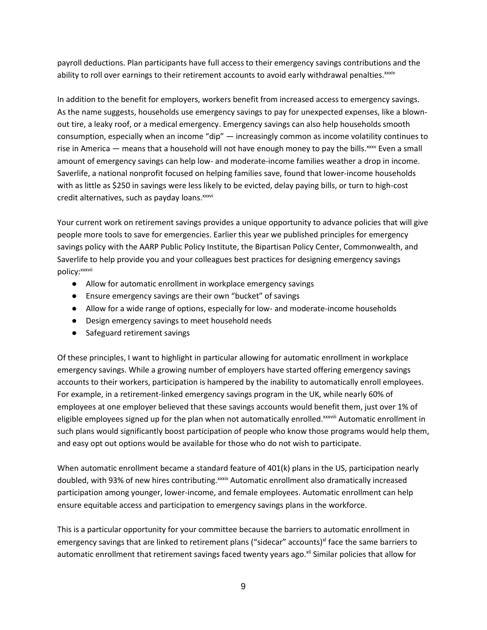payroll deductions. Plan participants have full access to their emergency savings contributions and the ability to roll over earnings to their retirement accounts to avoid early withdrawal penalties.<sup>xxxiv</sup>

In addition to the benefit for employers, workers benefit from increased access to emergency savings. As the name suggests, households use emergency savings to pay for unexpected expenses, like a blownout tire, a leaky roof, or a medical emergency. Emergency savings can also help households smooth consumption, especially when an income "dip" — increasingly common as income volatility continues to rise in America — means that a household will not have enough money to pay the bills.<sup>xxxv</sup> Even a small amount of emergency savings can help low- and moderate-income families weather a drop in income. Saverlife, a national nonprofit focused on helping families save, found that lower-income households with as little as \$250 in savings were less likely to be evicted, delay paying bills, or turn to high-cost credit alternatives, such as payday loans.<sup>xxxvi</sup>

Your current work on retirement savings provides a unique opportunity to advance policies that will give people more tools to save for emergencies. Earlier this year we published principles for emergency savings policy with the AARP Public Policy Institute, the Bipartisan Policy Center, Commonwealth, and Saverlife to help provide you and your colleagues best practices for designing emergency savings policy: xxxvii

- Allow for automatic enrollment in workplace emergency savings
- Ensure emergency savings are their own "bucket" of savings
- Allow for a wide range of options, especially for low- and moderate-income households
- Design emergency savings to meet household needs
- Safeguard retirement savings

Of these principles, I want to highlight in particular allowing for automatic enrollment in workplace emergency savings. While a growing number of employers have started offering emergency savings accounts to their workers, participation is hampered by the inability to automatically enroll employees. For example, in a retirement-linked emergency savings program in the UK, while nearly 60% of employees at one employer believed that these savings accounts would benefit them, just over 1% of eligible employees signed up for the plan when not automatically enrolled.<sup>xxxviii</sup> Automatic enrollment in such plans would significantly boost participation of people who know those programs would help them, and easy opt out options would be available for those who do not wish to participate.

When automatic enrollment became a standard feature of 401(k) plans in the US, participation nearly doubled, with 93% of new hires contributing. XXXIX Automatic enrollment also dramatically increased participation among younger, lower-income, and female employees. Automatic enrollment can help ensure equitable access and participation to emergency savings plans in the workforce.

This is a particular opportunity for your committee because the barriers to automatic enrollment in emergency savings that are linked to retirement plans ("sidecar" accounts)<sup>xl</sup> face the same barriers to automatic enrollment that retirement savings faced twenty years ago. XII Similar policies that allow for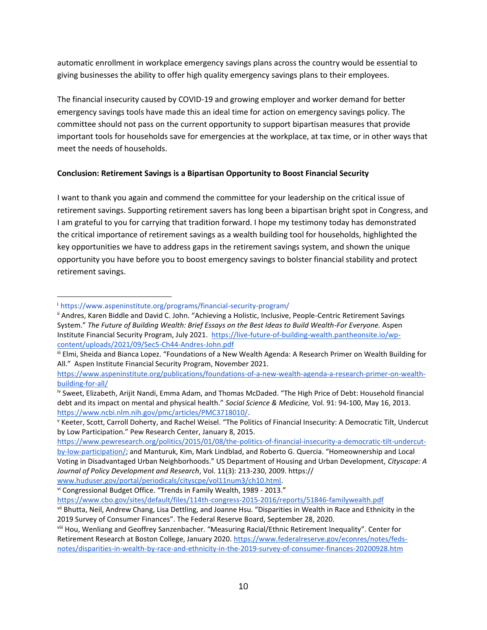automatic enrollment in workplace emergency savings plans across the country would be essential to giving businesses the ability to offer high quality emergency savings plans to their employees.

The financial insecurity caused by COVID-19 and growing employer and worker demand for better emergency savings tools have made this an ideal time for action on emergency savings policy. The committee should not pass on the current opportunity to support bipartisan measures that provide important tools for households save for emergencies at the workplace, at tax time, or in other ways that meet the needs of households.

### **Conclusion: Retirement Savings is a Bipartisan Opportunity to Boost Financial Security**

I want to thank you again and commend the committee for your leadership on the critical issue of retirement savings. Supporting retirement savers has long been a bipartisan bright spot in Congress, and I am grateful to you for carrying that tradition forward. I hope my testimony today has demonstrated the critical importance of retirement savings as a wealth building tool for households, highlighted the key opportunities we have to address gaps in the retirement savings system, and shown the unique opportunity you have before you to boost emergency savings to bolster financial stability and protect retirement savings.

[www.huduser.gov/portal/periodicals/cityscpe/vol11num3/ch10.html.](http://www.huduser.gov/portal/periodicals/cityscpe/vol11num3/ch10.html)

<sup>i</sup> <https://www.aspeninstitute.org/programs/financial-security-program/>

ii Andres, Karen Biddle and David C. John. "Achieving a Holistic, Inclusive, People-Centric Retirement Savings System." *The Future of Building Wealth: Brief Essays on the Best Ideas to Build Wealth-For Everyone.* Aspen Institute Financial Security Program, July 2021. [https://live-future-of-building-wealth.pantheonsite.io/wp](https://live-future-of-building-wealth.pantheonsite.io/wp-content/uploads/2021/09/Sec5-Ch44-Andres-John.pdf)[content/uploads/2021/09/Sec5-Ch44-Andres-John.pdf](https://live-future-of-building-wealth.pantheonsite.io/wp-content/uploads/2021/09/Sec5-Ch44-Andres-John.pdf)

iii Elmi, Sheida and Bianca Lopez. "Foundations of a New Wealth Agenda: A Research Primer on Wealth Building for All." Aspen Institute Financial Security Program, November 2021.

[https://www.aspeninstitute.org/publications/foundations-of-a-new-wealth-agenda-a-research-primer-on-wealth](https://www.aspeninstitute.org/publications/foundations-of-a-new-wealth-agenda-a-research-primer-on-wealth-building-for-all/)[building-for-all/](https://www.aspeninstitute.org/publications/foundations-of-a-new-wealth-agenda-a-research-primer-on-wealth-building-for-all/)

iv Sweet, Elizabeth, Arijit Nandi, Emma Adam, and Thomas McDaded. "The High Price of Debt: Household financial debt and its impact on mental and physical health." *Social Science & Medicine,* Vol. 91: 94-100, May 16, 2013. [https://www.ncbi.nlm.nih.gov/pmc/articles/PMC3718010/.](https://www.ncbi.nlm.nih.gov/pmc/articles/PMC3718010/)

<sup>v</sup> Keeter, Scott, Carroll Doherty, and Rachel Weisel. "The Politics of Financial Insecurity: A Democratic Tilt, Undercut by Low Participation." Pew Research Center, January 8, 2015.

[https://www.pewresearch.org/politics/2015/01/08/the-politics-of-financial-insecurity-a-democratic-tilt-undercut](https://www.pewresearch.org/politics/2015/01/08/the-politics-of-financial-insecurity-a-democratic-tilt-undercut-by-low-participation/)[by-low-participation/](https://www.pewresearch.org/politics/2015/01/08/the-politics-of-financial-insecurity-a-democratic-tilt-undercut-by-low-participation/); and Manturuk, Kim, Mark Lindblad, and Roberto G. Quercia. "Homeownership and Local Voting in Disadvantaged Urban Neighborhoods." US Department of Housing and Urban Development, *Cityscape: A Journal of Policy Development and Research*, Vol. 11(3): 213-230, 2009. https://

vi Congressional Budget Office. "Trends in Family Wealth, 1989 - 2013."

<https://www.cbo.gov/sites/default/files/114th-congress-2015-2016/reports/51846-familywealth.pdf>

vii Bhutta, Neil, Andrew Chang, Lisa Dettling, and Joanne Hsu. "Disparities in Wealth in Race and Ethnicity in the 2019 Survey of Consumer Finances". The Federal Reserve Board, September 28, 2020.

viii Hou, Wenliang and Geoffrey Sanzenbacher. "Measuring Racial/Ethnic Retirement Inequality". Center for Retirement Research at Boston College, January 2020. [https://www.federalreserve.gov/econres/notes/feds](https://www.federalreserve.gov/econres/notes/feds-notes/disparities-in-wealth-by-race-and-ethnicity-in-the-2019-survey-of-consumer-finances-20200928.htm)[notes/disparities-in-wealth-by-race-and-ethnicity-in-the-2019-survey-of-consumer-finances-20200928.htm](https://www.federalreserve.gov/econres/notes/feds-notes/disparities-in-wealth-by-race-and-ethnicity-in-the-2019-survey-of-consumer-finances-20200928.htm)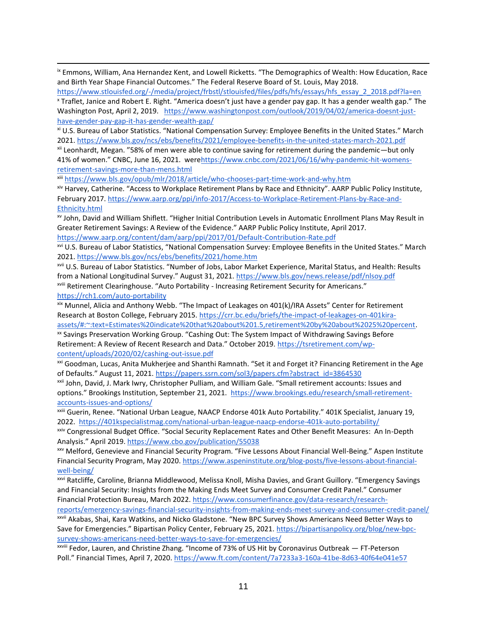ix Emmons, William, Ana Hernandez Kent, and Lowell Ricketts. "The Demographics of Wealth: How Education, Race and Birth Year Shape Financial Outcomes." The Federal Reserve Board of St. Louis, May 2018.

[https://www.stlouisfed.org/-/media/project/frbstl/stlouisfed/files/pdfs/hfs/essays/hfs\\_essay\\_2\\_2018.pdf?la=en](https://www.stlouisfed.org/-/media/project/frbstl/stlouisfed/files/pdfs/hfs/essays/hfs_essay_2_2018.pdf?la=en) <sup>x</sup> Traflet, Janice and Robert E. Right. "America doesn't just have a gender pay gap. It has a gender wealth gap." The Washington Post, April 2, 2019. [https://www.washingtonpost.com/outlook/2019/04/02/america-doesnt-just](https://www.washingtonpost.com/outlook/2019/04/02/america-doesnt-just-have-gender-pay-gap-it-has-gender-wealth-gap/)[have-gender-pay-gap-it-has-gender-wealth-gap/](https://www.washingtonpost.com/outlook/2019/04/02/america-doesnt-just-have-gender-pay-gap-it-has-gender-wealth-gap/)

xi U.S. Bureau of Labor Statistics. "National Compensation Survey: Employee Benefits in the United States." March 2021.<https://www.bls.gov/ncs/ebs/benefits/2021/employee-benefits-in-the-united-states-march-2021.pdf>

xii Leonhardt, Megan. "58% of men were able to continue saving for retirement during the pandemic—but only 41% of women." CNBC, June 16, 2021. were[https://www.cnbc.com/2021/06/16/why-pandemic-hit-womens](https://www.cnbc.com/2021/06/16/why-pandemic-hit-womens-retirement-savings-more-than-mens.html)[retirement-savings-more-than-mens.html](https://www.cnbc.com/2021/06/16/why-pandemic-hit-womens-retirement-savings-more-than-mens.html)

xiii <https://www.bls.gov/opub/mlr/2018/article/who-chooses-part-time-work-and-why.htm>

xiv Harvey, Catherine. "Access to Workplace Retirement Plans by Race and Ethnicity". AARP Public Policy Institute, February 2017[. https://www.aarp.org/ppi/info-2017/Access-to-Workplace-Retirement-Plans-by-Race-and-](https://www.aarp.org/ppi/info-2017/Access-to-Workplace-Retirement-Plans-by-Race-and-Ethnicity.html)[Ethnicity.html](https://www.aarp.org/ppi/info-2017/Access-to-Workplace-Retirement-Plans-by-Race-and-Ethnicity.html)

xv John, David and William Shiflett. "Higher Initial Contribution Levels in Automatic Enrollment Plans May Result in Greater Retirement Savings: A Review of the Evidence." AARP Public Policy Institute, April 2017. <https://www.aarp.org/content/dam/aarp/ppi/2017/01/Default-Contribution-Rate.pdf>

xvi U.S. Bureau of Labor Statistics, "National Compensation Survey: Employee Benefits in the United States." March 2021.<https://www.bls.gov/ncs/ebs/benefits/2021/home.htm>

xvii U.S. Bureau of Labor Statistics. "Number of Jobs, Labor Market Experience, Marital Status, and Health: Results from a National Longitudinal Survey." August 31, 2021. <https://www.bls.gov/news.release/pdf/nlsoy.pdf> xviii Retirement Clearinghouse. "Auto Portability - Increasing Retirement Security for Americans." <https://rch1.com/auto-portability>

xix Munnel, Alicia and Anthony Webb. "The Impact of Leakages on 401(k)/IRA Assets" Center for Retirement Research at Boston College, February 2015. [https://crr.bc.edu/briefs/the-impact-of-leakages-on-401kira](https://crr.bc.edu/briefs/the-impact-of-leakages-on-401kira-assets/#:~:text=Estimates%20indicate%20that%20about%201.5,retirement%20by%20about%2025%20percent)[assets/#:~:text=Estimates%20indicate%20that%20about%201.5,retirement%20by%20about%2025%20percent.](https://crr.bc.edu/briefs/the-impact-of-leakages-on-401kira-assets/#:~:text=Estimates%20indicate%20that%20about%201.5,retirement%20by%20about%2025%20percent)

xx Savings Preservation Working Group. "Cashing Out: The System Impact of Withdrawing Savings Before Retirement: A Review of Recent Research and Data." October 2019. [https://tsretirement.com/wp](https://tsretirement.com/wp-content/uploads/2020/02/cashing-out-issue.pdf)[content/uploads/2020/02/cashing-out-issue.pdf](https://tsretirement.com/wp-content/uploads/2020/02/cashing-out-issue.pdf)

<sup>xxi</sup> Goodman, Lucas, Anita Mukherjee and Shanthi Ramnath. "Set it and Forget it? Financing Retirement in the Age of Defaults." August 11, 2021. [https://papers.ssrn.com/sol3/papers.cfm?abstract\\_id=3864530](https://papers.ssrn.com/sol3/papers.cfm?abstract_id=3864530)

xxii John, David, J. Mark Iwry, Christopher Pulliam, and William Gale. "Small retirement accounts: Issues and options." Brookings Institution, September 21, 2021. [https://www.brookings.edu/research/small-retirement](https://www.brookings.edu/research/small-retirement-accounts-issues-and-options/)[accounts-issues-and-options/](https://www.brookings.edu/research/small-retirement-accounts-issues-and-options/)

xxiii Guerin, Renee. "National Urban League, NAACP Endorse 401k Auto Portability." 401K Specialist, January 19, 2022. <https://401kspecialistmag.com/national-urban-league-naacp-endorse-401k-auto-portability/>

xxiv Congressional Budget Office. "Social Security Replacement Rates and Other Benefit Measures: An In-Depth Analysis." April 2019. <https://www.cbo.gov/publication/55038>

xxv Melford, Genevieve and Financial Security Program. "Five Lessons About Financial Well-Being." Aspen Institute Financial Security Program, May 2020. [https://www.aspeninstitute.org/blog-posts/five-lessons-about-financial](https://www.aspeninstitute.org/blog-posts/five-lessons-about-financial-well-being/)[well-being/](https://www.aspeninstitute.org/blog-posts/five-lessons-about-financial-well-being/) 

xxvi Ratcliffe, Caroline, Brianna Middlewood, Melissa Knoll, Misha Davies, and Grant Guillory. "Emergency Savings and Financial Security: Insights from the Making Ends Meet Survey and Consumer Credit Panel." Consumer Financial Protection Bureau, March 2022[. https://www.consumerfinance.gov/data-research/research-](https://www.consumerfinance.gov/data-research/research-reports/emergency-savings-financial-security-insights-from-making-ends-meet-survey-and-consumer-credit-panel/)

[reports/emergency-savings-financial-security-insights-from-making-ends-meet-survey-and-consumer-credit-panel/](https://www.consumerfinance.gov/data-research/research-reports/emergency-savings-financial-security-insights-from-making-ends-meet-survey-and-consumer-credit-panel/) xxvii Akabas, Shai, Kara Watkins, and Nicko Gladstone. "New BPC Survey Shows Americans Need Better Ways to Save for Emergencies." Bipartisan Policy Center, February 25, 2021. [https://bipartisanpolicy.org/blog/new-bpc](https://bipartisanpolicy.org/blog/new-bpc-survey-shows-americans-need-better-ways-to-save-for-emergencies/)[survey-shows-americans-need-better-ways-to-save-for-emergencies/](https://bipartisanpolicy.org/blog/new-bpc-survey-shows-americans-need-better-ways-to-save-for-emergencies/)

xxviii Fedor, Lauren, and Christine Zhang. "Income of 73% of US Hit by Coronavirus Outbreak — FT-Peterson Poll." Financial Times, April 7, 2020. <https://www.ft.com/content/7a7233a3-160a-41be-8d63-40f64e041e57>